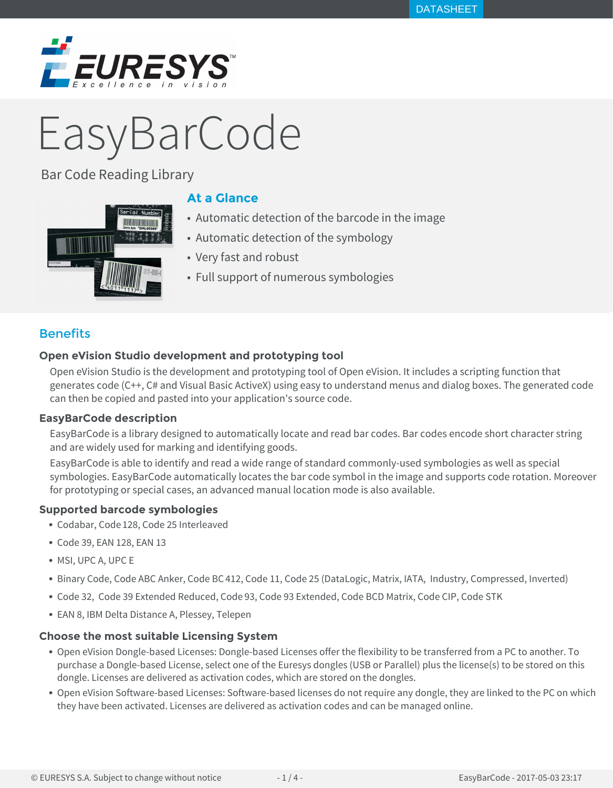

# EasyBarCode

Bar Code Reading Library



# **At a Glance**

- Automatic detection of the barcode in the image
- Automatic detection of the symbology
- Very fast and robust
- Full support of numerous symbologies

# **Benefits**

# **Open eVision Studio development and prototyping tool**

Open eVision Studio is the development and prototyping tool of Open eVision. It includes a scripting function that generates code (C++, C# and Visual Basic ActiveX) using easy to understand menus and dialog boxes. The generated code can then be copied and pasted into your application's source code.

## **EasyBarCode description**

EasyBarCode is a library designed to automatically locate and read bar codes. Bar codes encode short character string and are widely used for marking and identifying goods.

EasyBarCode is able to identify and read a wide range of standard commonly-used symbologies as well as special symbologies. EasyBarCode automatically locates the bar code symbol in the image and supports code rotation. Moreover for prototyping or special cases, an advanced manual location mode is also available.

## **Supported barcode symbologies**

- Codabar, Code 128, Code 25 Interleaved
- Code 39, EAN 128, EAN 13
- MSI, UPC A, UPC E
- Binary Code, Code ABC Anker, Code BC 412, Code 11, Code 25 (DataLogic, Matrix, IATA, Industry, Compressed, Inverted)
- Code 32, Code 39 Extended Reduced, Code 93, Code 93 Extended, Code BCD Matrix, Code CIP, Code STK
- EAN 8, IBM Delta Distance A, Plessey, Telepen

## **Choose the most suitable Licensing System**

- Open eVision Dongle-based Licenses: Dongle-based Licenses offer the flexibility to be transferred from a PC to another. To purchase a Dongle-based License, select one of the Euresys dongles (USB or Parallel) plus the license(s) to be stored on this dongle. Licenses are delivered as activation codes, which are stored on the dongles.
- Open eVision Software-based Licenses: Software-based licenses do not require any dongle, they are linked to the PC on which they have been activated. Licenses are delivered as activation codes and can be managed online.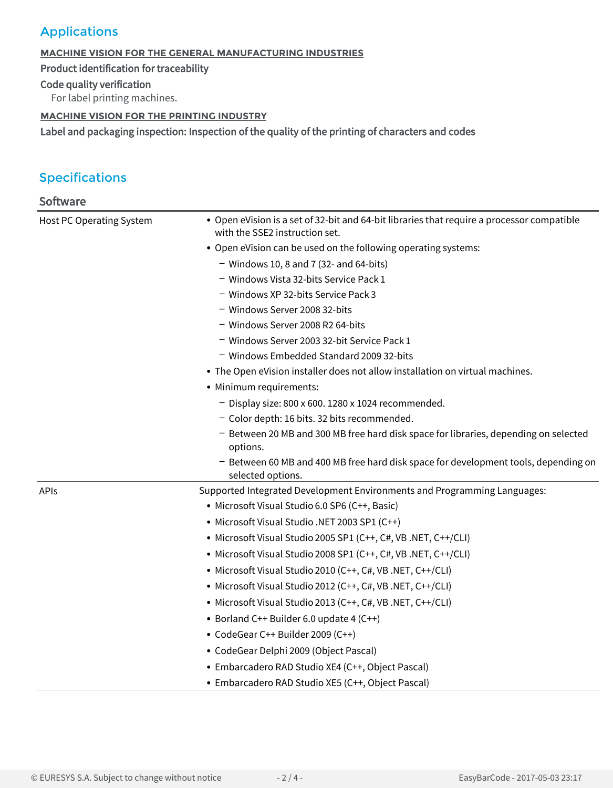# Applications

## **MACHINE VISION FOR THE GENERAL MANUFACTURING INDUSTRIES**

Product identification for traceability

Code quality verification

For label printing machines.

## **MACHINE VISION FOR THE PRINTING INDUSTRY**

Label and packaging inspection: Inspection of the quality of the printing of characters and codes

# Specifications

| Software                        |                                                                                                                              |
|---------------------------------|------------------------------------------------------------------------------------------------------------------------------|
| <b>Host PC Operating System</b> | • Open eVision is a set of 32-bit and 64-bit libraries that require a processor compatible<br>with the SSE2 instruction set. |
|                                 | • Open eVision can be used on the following operating systems:                                                               |
|                                 | $-$ Windows 10, 8 and 7 (32- and 64-bits)                                                                                    |
|                                 | - Windows Vista 32-bits Service Pack 1                                                                                       |
|                                 | - Windows XP 32-bits Service Pack 3                                                                                          |
|                                 | - Windows Server 2008 32-bits                                                                                                |
|                                 | - Windows Server 2008 R2 64-bits                                                                                             |
|                                 | - Windows Server 2003 32-bit Service Pack 1                                                                                  |
|                                 | - Windows Embedded Standard 2009 32-bits                                                                                     |
|                                 | • The Open eVision installer does not allow installation on virtual machines.                                                |
|                                 | • Minimum requirements:                                                                                                      |
|                                 | - Display size: 800 x 600. 1280 x 1024 recommended.                                                                          |
|                                 | - Color depth: 16 bits. 32 bits recommended.                                                                                 |
|                                 | - Between 20 MB and 300 MB free hard disk space for libraries, depending on selected<br>options.                             |
|                                 | - Between 60 MB and 400 MB free hard disk space for development tools, depending on<br>selected options.                     |
| <b>APIs</b>                     | Supported Integrated Development Environments and Programming Languages:                                                     |
|                                 | · Microsoft Visual Studio 6.0 SP6 (C++, Basic)                                                                               |
|                                 | • Microsoft Visual Studio .NET 2003 SP1 (C++)                                                                                |
|                                 | • Microsoft Visual Studio 2005 SP1 (C++, C#, VB .NET, C++/CLI)                                                               |
|                                 | • Microsoft Visual Studio 2008 SP1 (C++, C#, VB .NET, C++/CLI)                                                               |
|                                 | • Microsoft Visual Studio 2010 (C++, C#, VB .NET, C++/CLI)                                                                   |
|                                 | • Microsoft Visual Studio 2012 (C++, C#, VB .NET, C++/CLI)                                                                   |
|                                 | • Microsoft Visual Studio 2013 (C++, C#, VB .NET, C++/CLI)                                                                   |
|                                 | • Borland C++ Builder 6.0 update 4 (C++)                                                                                     |
|                                 | • CodeGear C++ Builder 2009 (C++)                                                                                            |
|                                 | • CodeGear Delphi 2009 (Object Pascal)                                                                                       |
|                                 | • Embarcadero RAD Studio XE4 (C++, Object Pascal)                                                                            |
|                                 | • Embarcadero RAD Studio XE5 (C++, Object Pascal)                                                                            |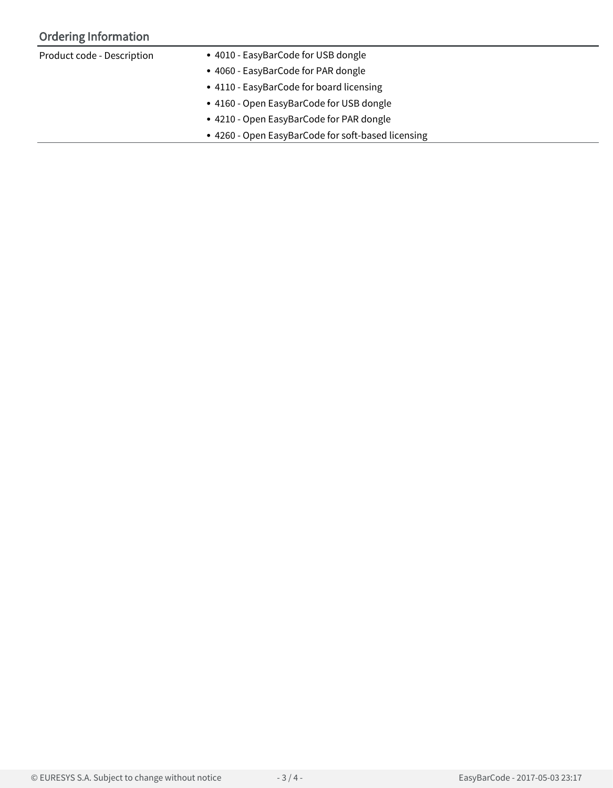# Ordering Information

| Product code - Description | • 4010 - EasyBarCode for USB dongle                |  |
|----------------------------|----------------------------------------------------|--|
|                            | • 4060 - EasyBarCode for PAR dongle                |  |
|                            | • 4110 - EasyBarCode for board licensing           |  |
|                            | • 4160 - Open EasyBarCode for USB dongle           |  |
|                            | • 4210 - Open EasyBarCode for PAR dongle           |  |
|                            | • 4260 - Open EasyBarCode for soft-based licensing |  |
|                            |                                                    |  |